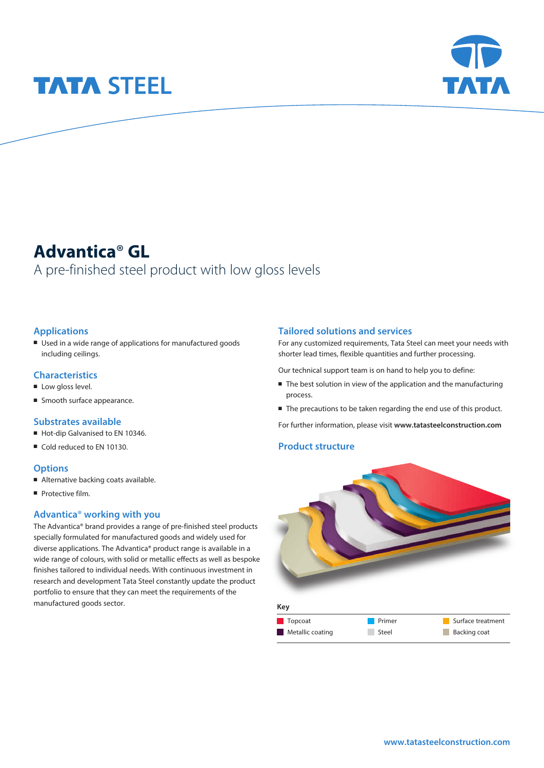# **TATA STEEL**



# **Advantica**® **GL** A pre-finished steel product with low gloss levels

# **Applications**

■ Used in a wide range of applications for manufactured goods including ceilings.

# **Characteristics**

- $\blacksquare$  Low gloss level.
- Smooth surface appearance.

## **Substrates available**

- Hot-dip Galvanised to EN 10346.
- Cold reduced to EN 10130.

### **Options**

- Alternative backing coats available.
- **Protective film.**

## **Advantica**® **working with you**

The Advantica® brand provides a range of pre-finished steel products specially formulated for manufactured goods and widely used for diverse applications. The Advantica® product range is available in a wide range of colours, with solid or metallic effects as well as bespoke finishes tailored to individual needs. With continuous investment in research and development Tata Steel constantly update the product portfolio to ensure that they can meet the requirements of the manufactured goods sector.

### **Tailored solutions and services**

For any customized requirements, Tata Steel can meet your needs with shorter lead times, flexible quantities and further processing.

Our technical support team is on hand to help you to define:

- $\blacksquare$  The best solution in view of the application and the manufacturing process.
- The precautions to be taken regarding the end use of this product.

For further information, please visit **www.tatasteelconstruction.com**

## **Product structure**



| $\blacksquare$ Topcoat | <b>Primer</b> | Surface treatment |
|------------------------|---------------|-------------------|
| Metallic coating       | Steel         | Backing coat      |